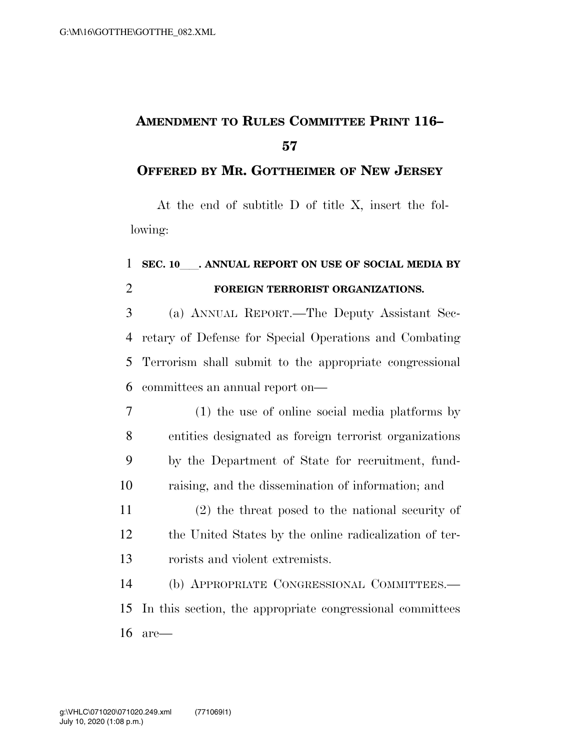## **AMENDMENT TO RULES COMMITTEE PRINT 116–**

## **OFFERED BY MR. GOTTHEIMER OF NEW JERSEY**

At the end of subtitle D of title X, insert the following:

## **SEC. 10**ll**. ANNUAL REPORT ON USE OF SOCIAL MEDIA BY FOREIGN TERRORIST ORGANIZATIONS.**

 (a) ANNUAL REPORT.—The Deputy Assistant Sec- retary of Defense for Special Operations and Combating Terrorism shall submit to the appropriate congressional committees an annual report on—

- (1) the use of online social media platforms by entities designated as foreign terrorist organizations by the Department of State for recruitment, fund-raising, and the dissemination of information; and
- (2) the threat posed to the national security of the United States by the online radicalization of ter-rorists and violent extremists.

 (b) APPROPRIATE CONGRESSIONAL COMMITTEES.— In this section, the appropriate congressional committees are